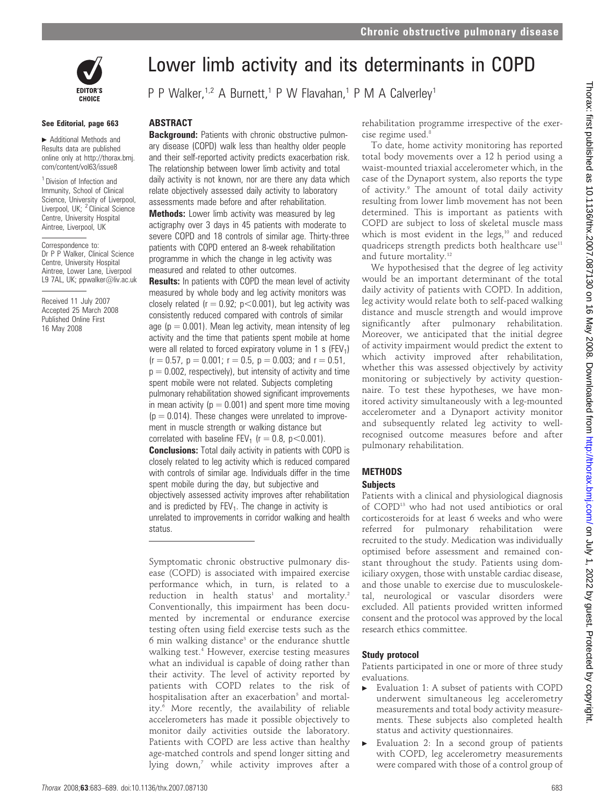

#### See Editorial, page 663

 $\blacktriangleright$  Additional Methods and Results data are published online only at http://thorax.bmj. com/content/vol63/issue8

<sup>1</sup> Division of Infection and Immunity, School of Clinical Science, University of Liverpool, Liverpool, UK; <sup>2</sup> Clinical Science Centre, University Hospital Aintree, Liverpool, UK

Correspondence to: Dr P P Walker, Clinical Science Centre, University Hospital Aintree, Lower Lane, Liverpool L9 7AL, UK; ppwalker@liv.ac.uk

Received 11 July 2007 Accepted 25 March 2008 Published Online First 16 May 2008

# Lower limb activity and its determinants in COPD

P P Walker,<sup>1,2</sup> A Burnett,<sup>1</sup> P W Flavahan,<sup>1</sup> P M A Calverley<sup>1</sup>

## **ABSTRACT**

**Background:** Patients with chronic obstructive pulmonary disease (COPD) walk less than healthy older people and their self-reported activity predicts exacerbation risk. The relationship between lower limb activity and total daily activity is not known, nor are there any data which relate objectively assessed daily activity to laboratory assessments made before and after rehabilitation. **Methods:** Lower limb activity was measured by leg actigraphy over 3 days in 45 patients with moderate to

severe COPD and 18 controls of similar age. Thirty-three patients with COPD entered an 8-week rehabilitation programme in which the change in leg activity was measured and related to other outcomes.

**Results:** In patients with COPD the mean level of activity measured by whole body and leg activity monitors was closely related ( $r = 0.92$ ;  $p < 0.001$ ), but leg activity was consistently reduced compared with controls of similar age ( $p = 0.001$ ). Mean leg activity, mean intensity of leg activity and the time that patients spent mobile at home were all related to forced expiratory volume in 1 s (FEV<sub>1</sub>)  $(r = 0.57, p = 0.001; r = 0.5, p = 0.003;$  and  $r = 0.51$ ,  $p = 0.002$ , respectively), but intensity of activity and time spent mobile were not related. Subjects completing pulmonary rehabilitation showed significant improvements in mean activity ( $p = 0.001$ ) and spent more time moving  $(p = 0.014)$ . These changes were unrelated to improvement in muscle strength or walking distance but correlated with baseline FEV<sub>1</sub> ( $r = 0.8$ ,  $p < 0.001$ ). **Conclusions:** Total daily activity in patients with COPD is closely related to leg activity which is reduced compared with controls of similar age. Individuals differ in the time spent mobile during the day, but subjective and objectively assessed activity improves after rehabilitation and is predicted by  $FEV<sub>1</sub>$ . The change in activity is unrelated to improvements in corridor walking and health status.

Symptomatic chronic obstructive pulmonary disease (COPD) is associated with impaired exercise performance which, in turn, is related to a  $reduction$  in health status<sup>1</sup> and mortality.<sup>2</sup> Conventionally, this impairment has been documented by incremental or endurance exercise testing often using field exercise tests such as the  $6$  min walking distance<sup>3</sup> or the endurance shuttle walking test.4 However, exercise testing measures what an individual is capable of doing rather than their activity. The level of activity reported by patients with COPD relates to the risk of hospitalisation after an exacerbation<sup>5</sup> and mortality.<sup>6</sup> More recently, the availability of reliable accelerometers has made it possible objectively to monitor daily activities outside the laboratory. Patients with COPD are less active than healthy age-matched controls and spend longer sitting and lying down,<sup>7</sup> while activity improves after a rehabilitation programme irrespective of the exercise regime used.<sup>8</sup>

To date, home activity monitoring has reported total body movements over a 12 h period using a waist-mounted triaxial accelerometer which, in the case of the Dynaport system, also reports the type of activity.<sup>9</sup> The amount of total daily activity resulting from lower limb movement has not been determined. This is important as patients with COPD are subject to loss of skeletal muscle mass which is most evident in the legs,<sup>10</sup> and reduced quadriceps strength predicts both healthcare use $11$ and future mortality.<sup>12</sup>

We hypothesised that the degree of leg activity would be an important determinant of the total daily activity of patients with COPD. In addition, leg activity would relate both to self-paced walking distance and muscle strength and would improve significantly after pulmonary rehabilitation. Moreover, we anticipated that the initial degree of activity impairment would predict the extent to which activity improved after rehabilitation, whether this was assessed objectively by activity monitoring or subjectively by activity questionnaire. To test these hypotheses, we have monitored activity simultaneously with a leg-mounted accelerometer and a Dynaport activity monitor and subsequently related leg activity to wellrecognised outcome measures before and after pulmonary rehabilitation.

## METHODS

#### **Subjects**

Patients with a clinical and physiological diagnosis of COPD13 who had not used antibiotics or oral corticosteroids for at least 6 weeks and who were referred for pulmonary rehabilitation were recruited to the study. Medication was individually optimised before assessment and remained constant throughout the study. Patients using domiciliary oxygen, those with unstable cardiac disease, and those unable to exercise due to musculoskeletal, neurological or vascular disorders were excluded. All patients provided written informed consent and the protocol was approved by the local research ethics committee.

## Study protocol

Patients participated in one or more of three study evaluations.

- $\blacktriangleright$  Evaluation 1: A subset of patients with COPD underwent simultaneous leg accelerometry measurements and total body activity measurements. These subjects also completed health status and activity questionnaires.
- $\blacktriangleright$  Evaluation 2: In a second group of patients with COPD, leg accelerometry measurements were compared with those of a control group of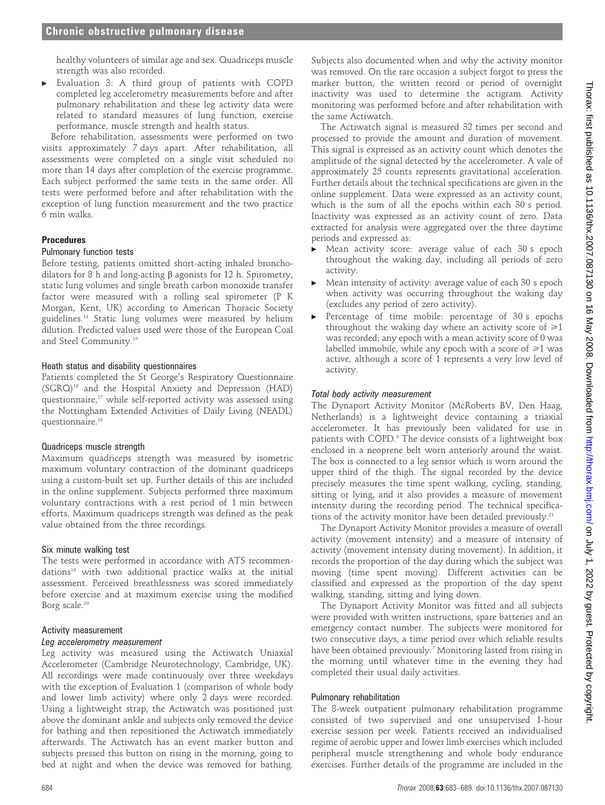healthy volunteers of similar age and sex. Quadriceps muscle strength was also recorded.

Evaluation 3: A third group of patients with COPD completed leg accelerometry measurements before and after pulmonary rehabilitation and these leg activity data were related to standard measures of lung function, exercise performance, muscle strength and health status.

Before rehabilitation, assessments were performed on two visits approximately 7 days apart. After rehabilitation, all assessments were completed on a single visit scheduled no more than 14 days after completion of the exercise programme. Each subject performed the same tests in the same order. All tests were performed before and after rehabilitation with the exception of lung function measurement and the two practice 6 min walks.

## Procedures

## Pulmonary function tests

Before testing, patients omitted short-acting inhaled bronchodilators for 8 h and long-acting  $\beta$  agonists for 12 h. Spirometry, static lung volumes and single breath carbon monoxide transfer factor were measured with a rolling seal spirometer (P K Morgan, Kent, UK) according to American Thoracic Society guidelines.14 Static lung volumes were measured by helium dilution. Predicted values used were those of the European Coal and Steel Community.15

#### Heath status and disability questionnaires

Patients completed the St George's Respiratory Questionnaire (SGRQ)16 and the Hospital Anxiety and Depression (HAD) questionnaire,<sup>17</sup> while self-reported activity was assessed using the Nottingham Extended Activities of Daily Living (NEADL) questionnaire.18

#### Quadriceps muscle strength

Maximum quadriceps strength was measured by isometric maximum voluntary contraction of the dominant quadriceps using a custom-built set up. Further details of this are included in the online supplement. Subjects performed three maximum voluntary contractions with a rest period of 1 min between efforts. Maximum quadriceps strength was defined as the peak value obtained from the three recordings.

#### Six minute walking test

The tests were performed in accordance with ATS recommendations<sup>19</sup> with two additional practice walks at the initial assessment. Perceived breathlessness was scored immediately before exercise and at maximum exercise using the modified Borg scale.<sup>20</sup>

#### Activity measurement

#### Leg accelerometry measurement

Leg activity was measured using the Actiwatch Uniaxial Accelerometer (Cambridge Neurotechnology, Cambridge, UK). All recordings were made continuously over three weekdays with the exception of Evaluation 1 (comparison of whole body and lower limb activity) where only 2 days were recorded. Using a lightweight strap, the Actiwatch was positioned just above the dominant ankle and subjects only removed the device for bathing and then repositioned the Actiwatch immediately afterwards. The Actiwatch has an event marker button and subjects pressed this button on rising in the morning, going to bed at night and when the device was removed for bathing.

Subjects also documented when and why the activity monitor was removed. On the rare occasion a subject forgot to press the marker button, the written record or period of overnight inactivity was used to determine the actigram. Activity monitoring was performed before and after rehabilitation with the same Actiwatch.

The Actiwatch signal is measured 32 times per second and processed to provide the amount and duration of movement. This signal is expressed as an activity count which denotes the amplitude of the signal detected by the accelerometer. A vale of approximately 25 counts represents gravitational acceleration. Further details about the technical specifications are given in the online supplement. Data were expressed as an activity count, which is the sum of all the epochs within each 30 s period. Inactivity was expressed as an activity count of zero. Data extracted for analysis were aggregated over the three daytime periods and expressed as:

- Mean activity score: average value of each 30 s epoch throughout the waking day, including all periods of zero activity.
- $\blacktriangleright$  Mean intensity of activity: average value of each 30 s epoch when activity was occurring throughout the waking day (excludes any period of zero activity).
- $\blacktriangleright$  Percentage of time mobile: percentage of 30 s epochs throughout the waking day where an activity score of  $\geq 1$ was recorded; any epoch with a mean activity score of 0 was labelled immobile, while any epoch with a score of  $\geq 1$  was active, although a score of 1 represents a very low level of activity.

## Total body activity measurement

The Dynaport Activity Monitor (McRoberts BV, Den Haag, Netherlands) is a lightweight device containing a triaxial accelerometer. It has previously been validated for use in patients with COPD.<sup>9</sup> The device consists of a lightweight box enclosed in a neoprene belt worn anteriorly around the waist. The box is connected to a leg sensor which is worn around the upper third of the thigh. The signal recorded by the device precisely measures the time spent walking, cycling, standing, sitting or lying, and it also provides a measure of movement intensity during the recording period. The technical specifications of the activity monitor have been detailed previously.<sup>21</sup>

The Dynaport Activity Monitor provides a measure of overall activity (movement intensity) and a measure of intensity of activity (movement intensity during movement). In addition, it records the proportion of the day during which the subject was moving (time spent moving). Different activities can be classified and expressed as the proportion of the day spent walking, standing, sitting and lying down.

The Dynaport Activity Monitor was fitted and all subjects were provided with written instructions, spare batteries and an emergency contact number. The subjects were monitored for two consecutive days, a time period over which reliable results have been obtained previously.<sup>7</sup> Monitoring lasted from rising in the morning until whatever time in the evening they had completed their usual daily activities.

#### Pulmonary rehabilitation

The 8-week outpatient pulmonary rehabilitation programme consisted of two supervised and one unsupervised 1-hour exercise session per week. Patients received an individualised regime of aerobic upper and lower limb exercises which included peripheral muscle strengthening and whole body endurance exercises. Further details of the programme are included in the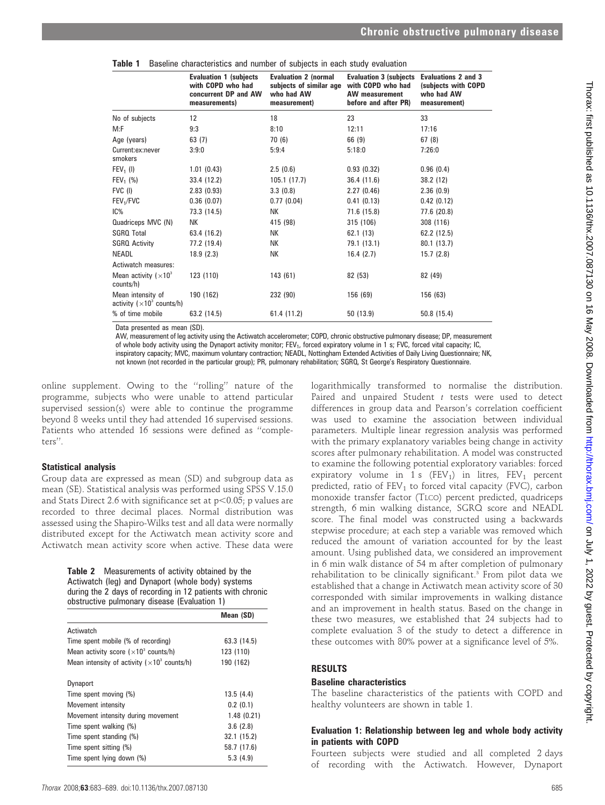|                                                         | <b>Evaluation 1 (subjects</b><br>with COPD who had<br>concurrent DP and AW<br>measurements) | <b>Evaluation 2 (normal</b><br>subjects of similar age<br>who had AW<br>measurement) | <b>Evaluation 3 (subjects Evaluations 2 and 3</b><br>with COPD who had<br><b>AW</b> measurement<br>before and after PR) | (subjects with COPD<br>who had AW<br>measurement) |
|---------------------------------------------------------|---------------------------------------------------------------------------------------------|--------------------------------------------------------------------------------------|-------------------------------------------------------------------------------------------------------------------------|---------------------------------------------------|
| No of subjects                                          | 12                                                                                          | 18                                                                                   | 23                                                                                                                      | 33                                                |
| M:F                                                     | 9:3                                                                                         | 8:10                                                                                 | 12:11                                                                                                                   | 17:16                                             |
| Age (years)                                             | 63(7)                                                                                       | 70 (6)                                                                               | 66 (9)                                                                                                                  | 67(8)                                             |
| Current:ex:never<br>smokers                             | 3:9:0                                                                                       | 5:9:4                                                                                | 5:18:0                                                                                                                  | 7:26:0                                            |
| $FEV1$ (I)                                              | 1.01(0.43)                                                                                  | 2.5(0.6)                                                                             | 0.93(0.32)                                                                                                              | 0.96(0.4)                                         |
| $FEV_1$ (%)                                             | 33.4 (12.2)                                                                                 | 105.1(17.7)                                                                          | 36.4(11.6)                                                                                                              | 38.2 (12)                                         |
| FVC (I)                                                 | 2.83(0.93)                                                                                  | 3.3(0.8)                                                                             | 2.27(0.46)                                                                                                              | 2.36(0.9)                                         |
| FEV <sub>1</sub> /FVC                                   | 0.36(0.07)                                                                                  | 0.77(0.04)                                                                           | 0.41(0.13)                                                                                                              | 0.42(0.12)                                        |
| IC%                                                     | 73.3 (14.5)                                                                                 | NΚ                                                                                   | 71.6 (15.8)                                                                                                             | 77.6 (20.8)                                       |
| Quadriceps MVC (N)                                      | NΚ                                                                                          | 415 (98)                                                                             | 315 (106)                                                                                                               | 308 (116)                                         |
| <b>SGRQ Total</b>                                       | 63.4 (16.2)                                                                                 | NΚ                                                                                   | 62.1(13)                                                                                                                | 62.2 (12.5)                                       |
| <b>SGRO Activity</b>                                    | 77.2 (19.4)                                                                                 | NК                                                                                   | 79.1 (13.1)                                                                                                             | 80.1 (13.7)                                       |
| <b>NEADL</b>                                            | 18.9(2.3)                                                                                   | NΚ                                                                                   | 16.4(2.7)                                                                                                               | 15.7(2.8)                                         |
| Actiwatch measures:                                     |                                                                                             |                                                                                      |                                                                                                                         |                                                   |
| Mean activity $(x10^3)$<br>counts/h)                    | 123 (110)                                                                                   | 143 (61)                                                                             | 82 (53)                                                                                                                 | 82 (49)                                           |
| Mean intensity of<br>activity ( $\times 10^3$ counts/h) | 190 (162)                                                                                   | 232 (90)                                                                             | 156 (69)                                                                                                                | 156 (63)                                          |
| % of time mobile                                        | 63.2 (14.5)                                                                                 | 61.4 (11.2)                                                                          | 50 (13.9)                                                                                                               | 50.8(15.4)                                        |

|  |  | Table 1 Baseline characteristics and number of subjects in each study evaluation |  |  |  |  |  |  |  |  |
|--|--|----------------------------------------------------------------------------------|--|--|--|--|--|--|--|--|
|--|--|----------------------------------------------------------------------------------|--|--|--|--|--|--|--|--|

Data presented as mean (SD).

AW, measurement of leg activity using the Actiwatch accelerometer; COPD, chronic obstructive pulmonary disease; DP, measurement of whole body activity using the Dynaport activity monitor; FEV<sub>1</sub>, forced expiratory volume in 1 s; FVC, forced vital capacity; IC, inspiratory capacity; MVC, maximum voluntary contraction; NEADL, Nottingham Extended Activities of Daily Living Questionnaire; NK, not known (not recorded in the particular group); PR, pulmonary rehabilitation; SGRQ, St George's Respiratory Questionnaire.

online supplement. Owing to the ''rolling'' nature of the programme, subjects who were unable to attend particular supervised session(s) were able to continue the programme beyond 8 weeks until they had attended 16 supervised sessions. Patients who attended 16 sessions were defined as ''completers''.

#### Statistical analysis

Group data are expressed as mean (SD) and subgroup data as mean (SE). Statistical analysis was performed using SPSS V.15.0 and Stats Direct 2.6 with significance set at  $p<0.05$ ; p values are recorded to three decimal places. Normal distribution was assessed using the Shapiro-Wilks test and all data were normally distributed except for the Actiwatch mean activity score and Actiwatch mean activity score when active. These data were

> Table 2 Measurements of activity obtained by the Actiwatch (leg) and Dynaport (whole body) systems during the 2 days of recording in 12 patients with chronic obstructive pulmonary disease (Evaluation 1)

|                                                                 | Mean (SD)   |
|-----------------------------------------------------------------|-------------|
| Actiwatch                                                       |             |
| Time spent mobile (% of recording)                              | 63.3 (14.5) |
| Mean activity score $(x10^3 \text{ counts/h})$                  | 123 (110)   |
| Mean intensity of activity ( $\times$ 10 <sup>3</sup> counts/h) | 190 (162)   |
| <b>Dynaport</b>                                                 |             |
| Time spent moving (%)                                           | 13.5(4.4)   |
| Movement intensity                                              | 0.2(0.1)    |
| Movement intensity during movement                              | 1.48(0.21)  |
| Time spent walking (%)                                          | 3.6(2.8)    |
| Time spent standing (%)                                         | 32.1 (15.2) |
| Time spent sitting (%)                                          | 58.7 (17.6) |
| Time spent lying down (%)                                       | 5.3(4.9)    |

logarithmically transformed to normalise the distribution. Paired and unpaired Student t tests were used to detect differences in group data and Pearson's correlation coefficient was used to examine the association between individual parameters. Multiple linear regression analysis was performed with the primary explanatory variables being change in activity scores after pulmonary rehabilitation. A model was constructed to examine the following potential exploratory variables: forced expiratory volume in 1 s  $(FEV_1)$  in litres,  $FEV_1$  percent predicted, ratio of  $FEV<sub>1</sub>$  to forced vital capacity (FVC), carbon monoxide transfer factor (TLCO) percent predicted, quadriceps strength, 6 min walking distance, SGRQ score and NEADL score. The final model was constructed using a backwards stepwise procedure; at each step a variable was removed which reduced the amount of variation accounted for by the least amount. Using published data, we considered an improvement in 6 min walk distance of 54 m after completion of pulmonary rehabilitation to be clinically significant.3 From pilot data we established that a change in Actiwatch mean activity score of 30 corresponded with similar improvements in walking distance and an improvement in health status. Based on the change in these two measures, we established that 24 subjects had to complete evaluation 3 of the study to detect a difference in these outcomes with 80% power at a significance level of 5%.

## RESULTS

## Baseline characteristics

The baseline characteristics of the patients with COPD and healthy volunteers are shown in table 1.

## Evaluation 1: Relationship between leg and whole body activity in patients with COPD

Fourteen subjects were studied and all completed 2 days of recording with the Actiwatch. However, Dynaport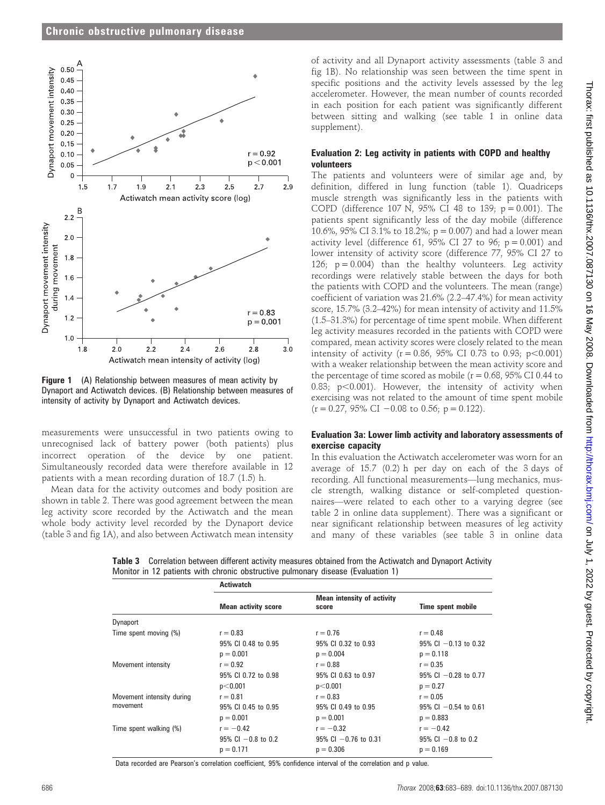

**Figure 1** (A) Relationship between measures of mean activity by Dynaport and Actiwatch devices. (B) Relationship between measures of intensity of activity by Dynaport and Actiwatch devices.

measurements were unsuccessful in two patients owing to unrecognised lack of battery power (both patients) plus incorrect operation of the device by one patient. Simultaneously recorded data were therefore available in 12 patients with a mean recording duration of 18.7 (1.5) h.

Mean data for the activity outcomes and body position are shown in table 2. There was good agreement between the mean leg activity score recorded by the Actiwatch and the mean whole body activity level recorded by the Dynaport device (table 3 and fig 1A), and also between Actiwatch mean intensity

of activity and all Dynaport activity assessments (table 3 and fig 1B). No relationship was seen between the time spent in specific positions and the activity levels assessed by the leg accelerometer. However, the mean number of counts recorded in each position for each patient was significantly different between sitting and walking (see table 1 in online data supplement).

# Evaluation 2: Leg activity in patients with COPD and healthy volunteers

The patients and volunteers were of similar age and, by definition, differed in lung function (table 1). Quadriceps muscle strength was significantly less in the patients with COPD (difference 107 N, 95% CI 48 to 139;  $p = 0.001$ ). The patients spent significantly less of the day mobile (difference 10.6%, 95% CI 3.1% to 18.2%;  $p = 0.007$ ) and had a lower mean activity level (difference 61, 95% CI 27 to 96;  $p = 0.001$ ) and lower intensity of activity score (difference 77, 95% CI 27 to 126;  $p = 0.004$ ) than the healthy volunteers. Leg activity recordings were relatively stable between the days for both the patients with COPD and the volunteers. The mean (range) coefficient of variation was 21.6% (2.2–47.4%) for mean activity score, 15.7% (3.2–42%) for mean intensity of activity and 11.5% (1.5–31.3%) for percentage of time spent mobile. When different leg activity measures recorded in the patients with COPD were compared, mean activity scores were closely related to the mean intensity of activity ( $r = 0.86$ , 95% CI 0.73 to 0.93;  $p < 0.001$ ) with a weaker relationship between the mean activity score and the percentage of time scored as mobile ( $r = 0.68$ , 95% CI 0.44 to 0.83;  $p<0.001$ ). However, the intensity of activity when exercising was not related to the amount of time spent mobile  $(r = 0.27, 95\% \text{ CI} - 0.08 \text{ to } 0.56; \text{ p} = 0.122).$ 

# Evaluation 3a: Lower limb activity and laboratory assessments of exercise capacity

In this evaluation the Actiwatch accelerometer was worn for an average of 15.7 (0.2) h per day on each of the 3 days of recording. All functional measurements—lung mechanics, muscle strength, walking distance or self-completed questionnaires—were related to each other to a varying degree (see table 2 in online data supplement). There was a significant or near significant relationship between measures of leg activity and many of these variables (see table 3 in online data

Table 3 Correlation between different activity measures obtained from the Actiwatch and Dynaport Activity Monitor in 12 patients with chronic obstructive pulmonary disease (Evaluation 1)

|                           | <b>Actiwatch</b>           |                                            |                           |
|---------------------------|----------------------------|--------------------------------------------|---------------------------|
|                           | <b>Mean activity score</b> | <b>Mean intensity of activity</b><br>score | Time spent mobile         |
| Dynaport                  |                            |                                            |                           |
| Time spent moving (%)     | $r = 0.83$                 | $r = 0.76$                                 | $r = 0.48$                |
|                           | 95% CI 0.48 to 0.95        | 95% CI 0.32 to 0.93                        | $95\%$ CI $-0.13$ to 0.32 |
|                           | $p = 0.001$                | $p = 0.004$                                | $p = 0.118$               |
| Movement intensity        | $r = 0.92$                 | $r = 0.88$                                 | $r = 0.35$                |
|                           | 95% CI 0.72 to 0.98        | 95% CL 0.63 to 0.97                        | $95\%$ CI $-0.28$ to 0.77 |
|                           | p<0.001                    | p<0.001                                    | $p = 0.27$                |
| Movement intensity during | $r = 0.81$                 | $r = 0.83$                                 | $r = 0.05$                |
| movement                  | 95% CI 0.45 to 0.95        | 95% CI 0.49 to 0.95                        | $95\%$ Cl $-0.54$ to 0.61 |
|                           | $p = 0.001$                | $p = 0.001$                                | $p = 0.883$               |
| Time spent walking (%)    | $r = -0.42$                | $r = -0.32$                                | $r = -0.42$               |
|                           | $95\%$ Cl $-0.8$ to 0.2    | $95\%$ Cl $-0.76$ to 0.31                  | $95\%$ Cl $-0.8$ to 0.2   |
|                           | $p = 0.171$                | $p = 0.306$                                | $p = 0.169$               |

Data recorded are Pearson's correlation coefficient, 95% confidence interval of the correlation and p value.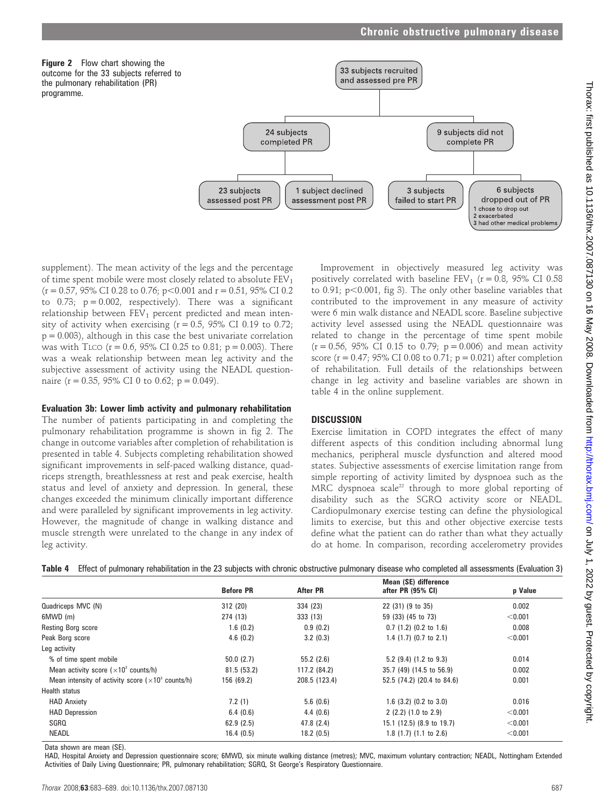



supplement). The mean activity of the legs and the percentage of time spent mobile were most closely related to absolute  $FEV<sub>1</sub>$  $(r = 0.57, 95\% \text{ CI } 0.28 \text{ to } 0.76; p < 0.001 \text{ and } r = 0.51, 95\% \text{ CI } 0.2$ to  $0.73$ ;  $p = 0.002$ , respectively). There was a significant relationship between  $FEV<sub>1</sub>$  percent predicted and mean intensity of activity when exercising  $(r = 0.5, 95\% \text{ CI } 0.19 \text{ to } 0.72;$  $p = 0.003$ ), although in this case the best univariate correlation was with TLCO ( $r = 0.6$ , 95% CI 0.25 to 0.81;  $p = 0.003$ ). There was a weak relationship between mean leg activity and the subjective assessment of activity using the NEADL questionnaire (r = 0.35, 95% CI 0 to 0.62; p = 0.049).

#### Evaluation 3b: Lower limb activity and pulmonary rehabilitation

The number of patients participating in and completing the pulmonary rehabilitation programme is shown in fig 2. The change in outcome variables after completion of rehabilitation is presented in table 4. Subjects completing rehabilitation showed significant improvements in self-paced walking distance, quadriceps strength, breathlessness at rest and peak exercise, health status and level of anxiety and depression. In general, these changes exceeded the minimum clinically important difference and were paralleled by significant improvements in leg activity. However, the magnitude of change in walking distance and muscle strength were unrelated to the change in any index of leg activity.

Improvement in objectively measured leg activity was positively correlated with baseline  $FEV_1$  ( $r = 0.8$ , 95% CI 0.58 to 0.91;  $p<0.001$ , fig 3). The only other baseline variables that contributed to the improvement in any measure of activity were 6 min walk distance and NEADL score. Baseline subjective activity level assessed using the NEADL questionnaire was related to change in the percentage of time spent mobile  $(r = 0.56, 95\% \text{ CI } 0.15 \text{ to } 0.79; p = 0.006)$  and mean activity score ( $r = 0.47$ ; 95% CI 0.08 to 0.71;  $p = 0.021$ ) after completion of rehabilitation. Full details of the relationships between change in leg activity and baseline variables are shown in table 4 in the online supplement.

# **DISCUSSION**

Exercise limitation in COPD integrates the effect of many different aspects of this condition including abnormal lung mechanics, peripheral muscle dysfunction and altered mood states. Subjective assessments of exercise limitation range from simple reporting of activity limited by dyspnoea such as the MRC dyspnoea scale<sup>22</sup> through to more global reporting of disability such as the SGRQ activity score or NEADL. Cardiopulmonary exercise testing can define the physiological limits to exercise, but this and other objective exercise tests define what the patient can do rather than what they actually do at home. In comparison, recording accelerometry provides

|  |  |  |  |  |  | Table 4 Effect of pulmonary rehabilitation in the 23 subjects with chronic obstructive pulmonary disease who completed all assessments (Evaluation 3) |
|--|--|--|--|--|--|-------------------------------------------------------------------------------------------------------------------------------------------------------|
|--|--|--|--|--|--|-------------------------------------------------------------------------------------------------------------------------------------------------------|

|                                                             | <b>Before PR</b> | <b>After PR</b> | Mean (SE) difference<br>after PR (95% CI) | p Value |
|-------------------------------------------------------------|------------------|-----------------|-------------------------------------------|---------|
| Quadriceps MVC (N)                                          | 312 (20)         | 334 (23)        | 22 (31) (9 to 35)                         | 0.002   |
| 6MWD (m)                                                    | 274 (13)         | 333 (13)        | 59 (33) (45 to 73)                        | < 0.001 |
| <b>Resting Borg score</b>                                   | 1.6(0.2)         | 0.9(0.2)        | $0.7$ (1.2) (0.2 to 1.6)                  | 0.008   |
| Peak Borg score                                             | 4.6(0.2)         | 3.2(0.3)        | 1.4 $(1.7)$ $(0.7$ to 2.1)                | < 0.001 |
| Leg activity                                                |                  |                 |                                           |         |
| % of time spent mobile                                      | 50.0(2.7)        | 55.2(2.6)       | 5.2 $(9.4)$ $(1.2$ to $9.3)$              | 0.014   |
| Mean activity score $(x10^3 \text{ counts/h})$              | 81.5 (53.2)      | 117.2 (84.2)    | 35.7 (49) (14.5 to 56.9)                  | 0.002   |
| Mean intensity of activity score $(x10^3 \text{ counts/h})$ | 156 (69.2)       | 208.5 (123.4)   | 52.5 (74.2) (20.4 to 84.6)                | 0.001   |
| Health status                                               |                  |                 |                                           |         |
| <b>HAD Anxiety</b>                                          | 7.2(1)           | 5.6(0.6)        | 1.6 $(3.2)$ $(0.2$ to $3.0)$              | 0.016   |
| <b>HAD Depression</b>                                       | 6.4(0.6)         | 4.4(0.6)        | 2(2.2)(1.0 to 2.9)                        | < 0.001 |
| SGRQ                                                        | 62.9(2.5)        | 47.8(2.4)       | 15.1 (12.5) (8.9 to 19.7)                 | < 0.001 |
| <b>NEADL</b>                                                | 16.4(0.5)        | 18.2(0.5)       | $1.8(1.7)(1.1$ to $2.6)$                  | < 0.001 |

Data shown are mean (SE).

HAD, Hospital Anxiety and Depression questionnaire score; 6MWD, six minute walking distance (metres); MVC, maximum voluntary contraction; NEADL, Nottingham Extended Activities of Daily Living Questionnaire; PR, pulmonary rehabilitation; SGRQ, St George's Respiratory Questionnaire.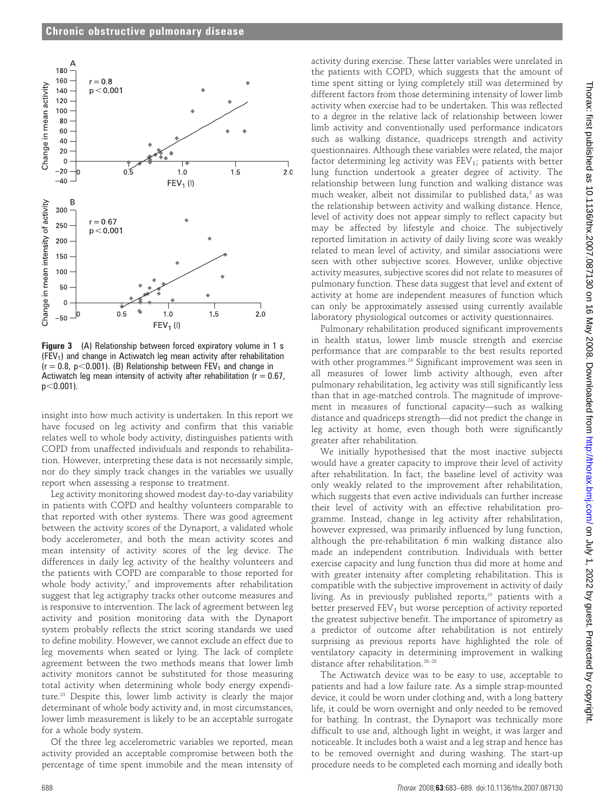

Figure 3 (A) Relationship between forced expiratory volume in 1 s  $(FEV<sub>1</sub>)$  and change in Actiwatch leg mean activity after rehabilitation  $(r = 0.8, p < 0.001)$ . (B) Relationship between FEV<sub>1</sub> and change in Actiwatch leg mean intensity of activity after rehabilitation ( $r = 0.67$ ,  $p<0.001$ ).

insight into how much activity is undertaken. In this report we have focused on leg activity and confirm that this variable relates well to whole body activity, distinguishes patients with COPD from unaffected individuals and responds to rehabilitation. However, interpreting these data is not necessarily simple, nor do they simply track changes in the variables we usually report when assessing a response to treatment.

Leg activity monitoring showed modest day-to-day variability in patients with COPD and healthy volunteers comparable to that reported with other systems. There was good agreement between the activity scores of the Dynaport, a validated whole body accelerometer, and both the mean activity scores and mean intensity of activity scores of the leg device. The differences in daily leg activity of the healthy volunteers and the patients with COPD are comparable to those reported for whole body activity, $^7$  and improvements after rehabilitation suggest that leg actigraphy tracks other outcome measures and is responsive to intervention. The lack of agreement between leg activity and position monitoring data with the Dynaport system probably reflects the strict scoring standards we used to define mobility. However, we cannot exclude an effect due to leg movements when seated or lying. The lack of complete agreement between the two methods means that lower limb activity monitors cannot be substituted for those measuring total activity when determining whole body energy expenditure.23 Despite this, lower limb activity is clearly the major determinant of whole body activity and, in most circumstances, lower limb measurement is likely to be an acceptable surrogate for a whole body system.

Of the three leg accelerometric variables we reported, mean activity provided an acceptable compromise between both the percentage of time spent immobile and the mean intensity of

activity during exercise. These latter variables were unrelated in the patients with COPD, which suggests that the amount of time spent sitting or lying completely still was determined by different factors from those determining intensity of lower limb activity when exercise had to be undertaken. This was reflected to a degree in the relative lack of relationship between lower limb activity and conventionally used performance indicators such as walking distance, quadriceps strength and activity questionnaires. Although these variables were related, the major factor determining leg activity was  $FEV<sub>1</sub>$ ; patients with better lung function undertook a greater degree of activity. The relationship between lung function and walking distance was much weaker, albeit not dissimilar to published data, $2$  as was the relationship between activity and walking distance. Hence, level of activity does not appear simply to reflect capacity but may be affected by lifestyle and choice. The subjectively reported limitation in activity of daily living score was weakly related to mean level of activity, and similar associations were seen with other subjective scores. However, unlike objective activity measures, subjective scores did not relate to measures of pulmonary function. These data suggest that level and extent of activity at home are independent measures of function which can only be approximately assessed using currently available laboratory physiological outcomes or activity questionnaires.

Pulmonary rehabilitation produced significant improvements in health status, lower limb muscle strength and exercise performance that are comparable to the best results reported with other programmes.<sup>24</sup> Significant improvement was seen in all measures of lower limb activity although, even after pulmonary rehabilitation, leg activity was still significantly less than that in age-matched controls. The magnitude of improvement in measures of functional capacity—such as walking distance and quadriceps strength—did not predict the change in leg activity at home, even though both were significantly greater after rehabilitation.

We initially hypothesised that the most inactive subjects would have a greater capacity to improve their level of activity after rehabilitation. In fact, the baseline level of activity was only weakly related to the improvement after rehabilitation, which suggests that even active individuals can further increase their level of activity with an effective rehabilitation programme. Instead, change in leg activity after rehabilitation, however expressed, was primarily influenced by lung function, although the pre-rehabilitation 6 min walking distance also made an independent contribution. Individuals with better exercise capacity and lung function thus did more at home and with greater intensity after completing rehabilitation. This is compatible with the subjective improvement in activity of daily living. As in previously published reports,<sup>25</sup> patients with a better preserved  $FEV<sub>1</sub>$  but worse perception of activity reported the greatest subjective benefit. The importance of spirometry as a predictor of outcome after rehabilitation is not entirely surprising as previous reports have highlighted the role of ventilatory capacity in determining improvement in walking distance after rehabilitation.26–28

The Actiwatch device was to be easy to use, acceptable to patients and had a low failure rate. As a simple strap-mounted device, it could be worn under clothing and, with a long battery life, it could be worn overnight and only needed to be removed for bathing. In contrast, the Dynaport was technically more difficult to use and, although light in weight, it was larger and noticeable. It includes both a waist and a leg strap and hence has to be removed overnight and during washing. The start-up procedure needs to be completed each morning and ideally both